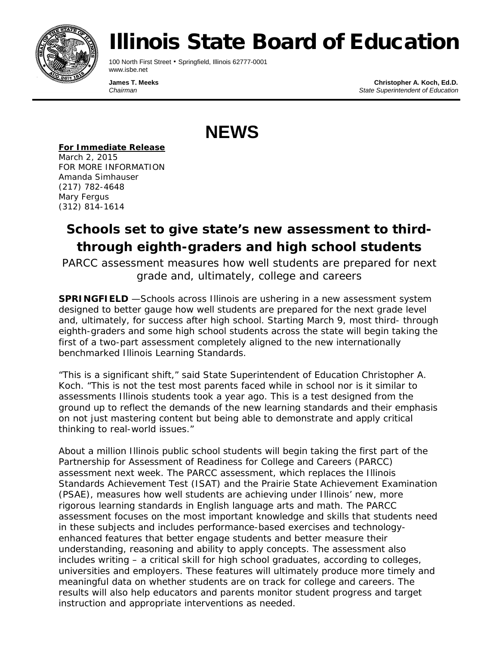

# Illinois State Board of Education

100 North First Street • Springfield, Illinois 62777-0001 www.isbe.net

**James T. Meeks Christopher A. Koch, Ed.D.**<br>Chairman **Christopher A. Koch, Ed.D.**<br>Chairman *Chairman State Superintendent of Education*

**NEWS**

*For Immediate Release*

March 2, 2015 FOR MORE INFORMATION Amanda Simhauser (217) 782-4648 Mary Fergus (312) 814-1614

### **Schools set to give state's new assessment to thirdthrough eighth-graders and high school students**

*PARCC assessment measures how well students are prepared for next grade and, ultimately, college and careers*

**SPRINGFIELD** —Schools across Illinois are ushering in a new assessment system designed to better gauge how well students are prepared for the next grade level and, ultimately, for success after high school. Starting March 9, most third- through eighth-graders and some high school students across the state will begin taking the first of a two-part assessment completely aligned to the new internationally benchmarked Illinois Learning Standards.

"This is a significant shift," said State Superintendent of Education Christopher A. Koch. "This is not the test most parents faced while in school nor is it similar to assessments Illinois students took a year ago. This is a test designed from the ground up to reflect the demands of the new learning standards and their emphasis on not just mastering content but being able to demonstrate and apply critical thinking to real-world issues."

About a million Illinois public school students will begin taking the first part of the Partnership for Assessment of Readiness for College and Careers (PARCC) assessment next week. The PARCC assessment, which replaces the Illinois Standards Achievement Test (ISAT) and the Prairie State Achievement Examination (PSAE), measures how well students are achieving under Illinois' new, more rigorous learning standards in English language arts and math. The PARCC assessment focuses on the most important knowledge and skills that students need in these subjects and includes performance-based exercises and technologyenhanced features that better engage students and better measure their understanding, reasoning and ability to apply concepts. The assessment also includes writing – a critical skill for high school graduates, according to colleges, universities and employers. These features will ultimately produce more timely and meaningful data on whether students are on track for college and careers. The results will also help educators and parents monitor student progress and target instruction and appropriate interventions as needed.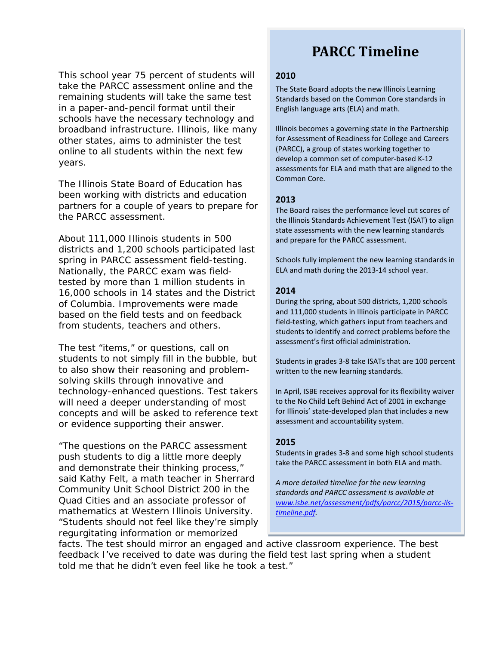This school year 75 percent of students will take the PARCC assessment online and the remaining students will take the same test in a paper-and-pencil format until their schools have the necessary technology and broadband infrastructure. Illinois, like many other states, aims to administer the test online to all students within the next few years.

The Illinois State Board of Education has been working with districts and education partners for a couple of years to prepare for the PARCC assessment.

About 111,000 Illinois students in 500 districts and 1,200 schools participated last spring in PARCC assessment field-testing. Nationally, the PARCC exam was fieldtested by more than 1 million students in 16,000 schools in 14 states and the District of Columbia. Improvements were made based on the field tests and on feedback from students, teachers and others.

The test "items," or questions, call on students to not simply fill in the bubble, but to also show their reasoning and problemsolving skills through innovative and technology-enhanced questions. Test takers will need a deeper understanding of most concepts and will be asked to reference text or evidence supporting their answer.

"The questions on the PARCC assessment push students to dig a little more deeply and demonstrate their thinking process," said Kathy Felt, a math teacher in Sherrard Community Unit School District 200 in the Quad Cities and an associate professor of mathematics at Western Illinois University. "Students should not feel like they're simply regurgitating information or memorized

## **PARCC Timeline**

#### **2010**

The State Board adopts the new Illinois Learning Standards based on the Common Core standards in English language arts (ELA) and math.

Illinois becomes a governing state in the Partnership for Assessment of Readiness for College and Careers (PARCC), a group of states working together to develop a common set of computer-based K-12 assessments for ELA and math that are aligned to the Common Core.

#### **2013**

The Board raises the performance level cut scores of the Illinois Standards Achievement Test (ISAT) to align state assessments with the new learning standards and prepare for the PARCC assessment.

Schools fully implement the new learning standards in ELA and math during the 2013-14 school year.

#### **2014**

During the spring, about 500 districts, 1,200 schools and 111,000 students in Illinois participate in PARCC field-testing, which gathers input from teachers and students to identify and correct problems before the assessment's first official administration.

Students in grades 3-8 take ISATs that are 100 percent written to the new learning standards.

In April, ISBE receives approval for its flexibility waiver to the No Child Left Behind Act of 2001 in exchange for Illinois' state-developed plan that includes a new assessment and accountability system.

#### **2015**

Students in grades 3-8 and some high school students take the PARCC assessment in both ELA and math.

*A more detailed timeline for the new learning standards and PARCC assessment is available at [www.isbe.net/assessment/pdfs/parcc/2015/parcc-ils](http://www.isbe.net/assessment/pdfs/parcc/2015/parcc-ils-timeline.pdf)[timeline.pdf.](http://www.isbe.net/assessment/pdfs/parcc/2015/parcc-ils-timeline.pdf)* 

facts. The test should mirror an engaged and active classroom experience. The best feedback I've received to date was during the field test last spring when a student told me that he didn't even feel like he took a test."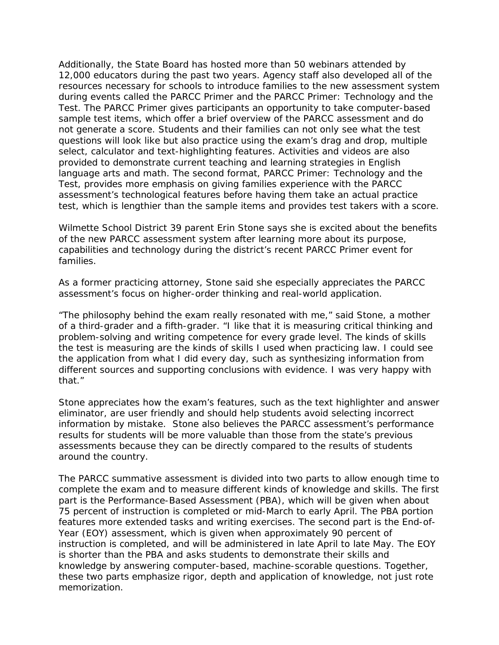Additionally, the State Board has hosted more than 50 webinars attended by 12,000 educators during the past two years. Agency staff also developed all of the resources necessary for schools to introduce families to the new assessment system during events called the PARCC Primer and the PARCC Primer: Technology and the Test. The PARCC Primer gives participants an opportunity to take computer-based sample test items, which offer a brief overview of the PARCC assessment and do not generate a score. Students and their families can not only see what the test questions will look like but also practice using the exam's drag and drop, multiple select, calculator and text-highlighting features. Activities and videos are also provided to demonstrate current teaching and learning strategies in English language arts and math. The second format, PARCC Primer: Technology and the Test, provides more emphasis on giving families experience with the PARCC assessment's technological features before having them take an actual practice test, which is lengthier than the sample items and provides test takers with a score.

Wilmette School District 39 parent Erin Stone says she is excited about the benefits of the new PARCC assessment system after learning more about its purpose, capabilities and technology during the district's recent PARCC Primer event for families.

As a former practicing attorney, Stone said she especially appreciates the PARCC assessment's focus on higher-order thinking and real-world application.

"The philosophy behind the exam really resonated with me," said Stone, a mother of a third-grader and a fifth-grader. "I like that it is measuring critical thinking and problem-solving and writing competence for every grade level. The kinds of skills the test is measuring are the kinds of skills I used when practicing law. I could see the application from what I did every day, such as synthesizing information from different sources and supporting conclusions with evidence. I was very happy with that."

Stone appreciates how the exam's features, such as the text highlighter and answer eliminator, are user friendly and should help students avoid selecting incorrect information by mistake. Stone also believes the PARCC assessment's performance results for students will be more valuable than those from the state's previous assessments because they can be directly compared to the results of students around the country.

The PARCC summative assessment is divided into two parts to allow enough time to complete the exam and to measure different kinds of knowledge and skills. The first part is the Performance-Based Assessment (PBA), which will be given when about 75 percent of instruction is completed or mid-March to early April. The PBA portion features more extended tasks and writing exercises. The second part is the End-of-Year (EOY) assessment, which is given when approximately 90 percent of instruction is completed, and will be administered in late April to late May. The EOY is shorter than the PBA and asks students to demonstrate their skills and knowledge by answering computer-based, machine-scorable questions. Together, these two parts emphasize rigor, depth and application of knowledge, not just rote memorization.